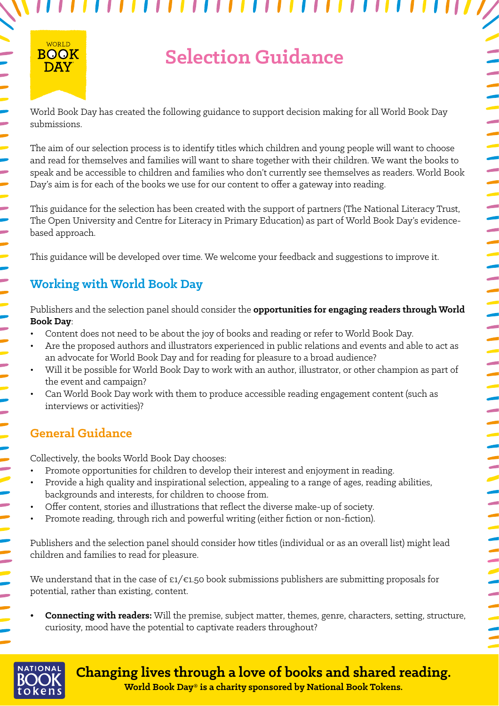# **Selection Guidance**

,,,,,,,,,,,,,

,,,

World Book Day has created the following guidance to support decision making for all World Book Day submissions.

The aim of our selection process is to identify titles which children and young people will want to choose and read for themselves and families will want to share together with their children. We want the books to speak and be accessible to children and families who don't currently see themselves as readers. World Book Day's aim is for each of the books we use for our content to offer a gateway into reading.

This guidance for the selection has been created with the support of partners (The National Literacy Trust, The Open University and Centre for Literacy in Primary Education) as part of World Book Day's evidencebased approach.

This guidance will be developed over time. We welcome your feedback and suggestions to improve it.

# **Working with World Book Day**

Publishers and the selection panel should consider the **opportunities for engaging readers through World Book Day**:

- Content does not need to be about the joy of books and reading or refer to World Book Day.
- Are the proposed authors and illustrators experienced in public relations and events and able to act as an advocate for World Book Day and for reading for pleasure to a broad audience?
- Will it be possible for World Book Day to work with an author, illustrator, or other champion as part of the event and campaign?
- Can World Book Day work with them to produce accessible reading engagement content (such as interviews or activities)?

## **General Guidance**

Collectively, the books World Book Day chooses:

- Promote opportunities for children to develop their interest and enjoyment in reading.
- Provide a high quality and inspirational selection, appealing to a range of ages, reading abilities, backgrounds and interests, for children to choose from.
- Offer content, stories and illustrations that reflect the diverse make-up of society.
- Promote reading, through rich and powerful writing (either fiction or non-fiction).

Publishers and the selection panel should consider how titles (individual or as an overall list) might lead children and families to read for pleasure.

We understand that in the case of £1/€1.50 book submissions publishers are submitting proposals for potential, rather than existing, content.

**• Connecting with readers:** Will the premise, subject matter, themes, genre, characters, setting, structure, curiosity, mood have the potential to captivate readers throughout?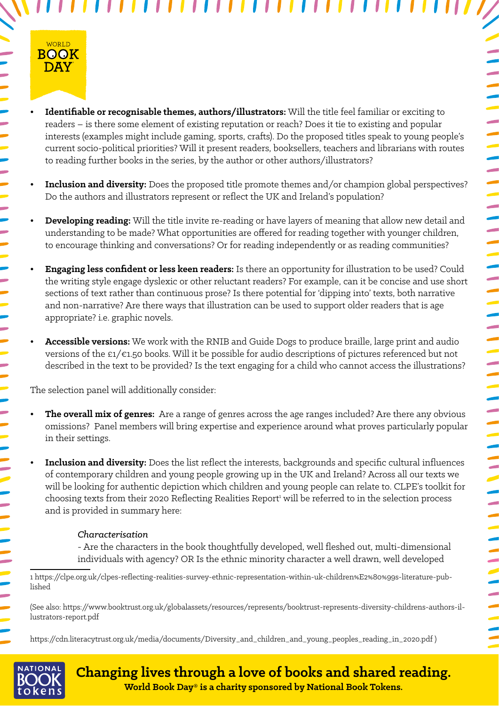

**• Identifiable or recognisable themes, authors/illustrators:** Will the title feel familiar or exciting to readers – is there some element of existing reputation or reach? Does it tie to existing and popular interests (examples might include gaming, sports, crafts). Do the proposed titles speak to young people's current socio-political priorities? Will it present readers, booksellers, teachers and librarians with routes to reading further books in the series, by the author or other authors/illustrators?

,,,,,,,,,,,,,

- **Inclusion and diversity:** Does the proposed title promote themes and/or champion global perspectives? Do the authors and illustrators represent or reflect the UK and Ireland's population?
- **• Developing reading:** Will the title invite re-reading or have layers of meaning that allow new detail and understanding to be made? What opportunities are offered for reading together with younger children, to encourage thinking and conversations? Or for reading independently or as reading communities?
- **• Engaging less confident or less keen readers:** Is there an opportunity for illustration to be used? Could the writing style engage dyslexic or other reluctant readers? For example, can it be concise and use short sections of text rather than continuous prose? Is there potential for 'dipping into' texts, both narrative and non-narrative? Are there ways that illustration can be used to support older readers that is age appropriate? i.e. graphic novels.
- **• Accessible versions:** We work with the RNIB and Guide Dogs to produce braille, large print and audio versions of the £1/€1.50 books. Will it be possible for audio descriptions of pictures referenced but not described in the text to be provided? Is the text engaging for a child who cannot access the illustrations?

The selection panel will additionally consider:

- **• The overall mix of genres:** Are a range of genres across the age ranges included? Are there any obvious omissions? Panel members will bring expertise and experience around what proves particularly popular in their settings.
- **• Inclusion and diversity:** Does the list reflect the interests, backgrounds and specific cultural influences of contemporary children and young people growing up in the UK and Ireland? Across all our texts we will be looking for authentic depiction which children and young people can relate to. CLPE's toolkit for choosing texts from their 2020 Reflecting Realities Report<sup>1</sup> will be referred to in the selection process and is provided in summary here:

#### *Characterisation*

- Are the characters in the book thoughtfully developed, well fleshed out, multi-dimensional individuals with agency? OR Is the ethnic minority character a well drawn, well developed

1 [https://clpe.org.uk/clpes-reflecting-realities-survey-ethnic-representation-within-uk-children%E2%80%99s-literature-pub](https://clpe.org.uk/clpes-reflecting-realities-survey-ethnic-representation-within-uk-children%E2%80%99s-literature-published )[lished](https://clpe.org.uk/clpes-reflecting-realities-survey-ethnic-representation-within-uk-children%E2%80%99s-literature-published ) 

(See also: [https://www.booktrust.org.uk/globalassets/resources/represents/booktrust-represents-diversity-childrens-authors-il](https://www.booktrust.org.uk/globalassets/resources/represents/booktrust-represents-diversity-childrens-authors-illustrators-report.pdf)[lustrators-report.pdf](https://www.booktrust.org.uk/globalassets/resources/represents/booktrust-represents-diversity-childrens-authors-illustrators-report.pdf)

[https://cdn.literacytrust.org.uk/media/documents/Diversity\\_and\\_children\\_and\\_young\\_peoples\\_reading\\_in\\_2020.pdf \)](https://cdn.literacytrust.org.uk/media/documents/Diversity_and_children_and_young_peoples_reading_in_2020.pdf )

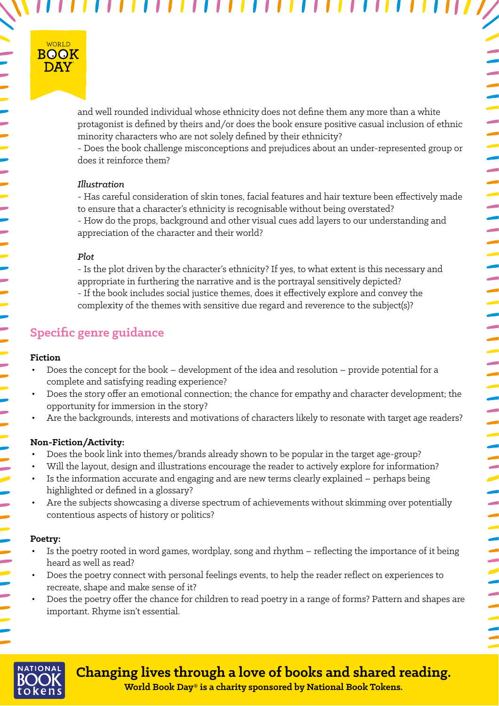

and well rounded individual whose ethnicity does not define them any more than a white protagonist is defined by theirs and/or does the book ensure positive casual inclusion of ethnic minority characters who are not solely defined by their ethnicity?

,,,,,,,,,,,,

- Does the book challenge misconceptions and prejudices about an under-represented group or does it reinforce them?

#### *Illustration*

- Has careful consideration of skin tones, facial features and hair texture been effectively made to ensure that a character's ethnicity is recognisable without being overstated? - How do the props, background and other visual cues add layers to our understanding and appreciation of the character and their world?

#### *Plot*

- Is the plot driven by the character's ethnicity? If yes, to what extent is this necessary and appropriate in furthering the narrative and is the portrayal sensitively depicted? - If the book includes social justice themes, does it effectively explore and convey the complexity of the themes with sensitive due regard and reverence to the subject(s)?

### **Specific genre guidance**

#### **Fiction**

- Does the concept for the book development of the idea and resolution provide potential for a complete and satisfying reading experience?
- Does the story offer an emotional connection; the chance for empathy and character development; the opportunity for immersion in the story?
- Are the backgrounds, interests and motivations of characters likely to resonate with target age readers?

#### **Non-Fiction/Activity:**

- Does the book link into themes/brands already shown to be popular in the target age-group?
- Will the layout, design and illustrations encourage the reader to actively explore for information?
- Is the information accurate and engaging and are new terms clearly explained perhaps being highlighted or defined in a glossary?
- Are the subjects showcasing a diverse spectrum of achievements without skimming over potentially contentious aspects of history or politics?

#### **Poetry:**

- Is the poetry rooted in word games, wordplay, song and rhythm reflecting the importance of it being heard as well as read?
- Does the poetry connect with personal feelings events, to help the reader reflect on experiences to recreate, shape and make sense of it?
- Does the poetry offer the chance for children to read poetry in a range of forms? Pattern and shapes are important. Rhyme isn't essential.

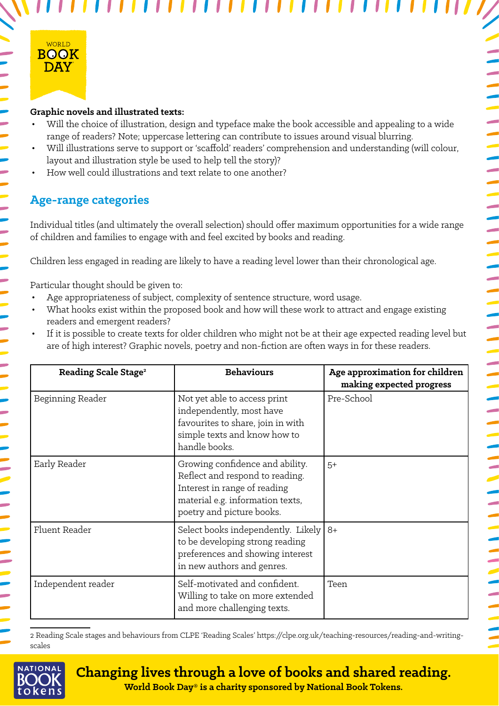

#### **Graphic novels and illustrated texts:**

• Will the choice of illustration, design and typeface make the book accessible and appealing to a wide range of readers? Note; uppercase lettering can contribute to issues around visual blurring.

,,,,,

- Will illustrations serve to support or 'scaffold' readers' comprehension and understanding (will colour, layout and illustration style be used to help tell the story)?
- How well could illustrations and text relate to one another?

### **Age-range categories**

Individual titles (and ultimately the overall selection) should offer maximum opportunities for a wide range of children and families to engage with and feel excited by books and reading.

Children less engaged in reading are likely to have a reading level lower than their chronological age.

Particular thought should be given to:

- Age appropriateness of subject, complexity of sentence structure, word usage.
- What hooks exist within the proposed book and how will these work to attract and engage existing readers and emergent readers?
- If it is possible to create texts for older children who might not be at their age expected reading level but are of high interest? Graphic novels, poetry and non-fiction are often ways in for these readers.

| Reading Scale Stage <sup>2</sup> | <b>Behaviours</b>                                                                                                                                                   | Age approximation for children<br>making expected progress |
|----------------------------------|---------------------------------------------------------------------------------------------------------------------------------------------------------------------|------------------------------------------------------------|
| Beginning Reader                 | Not yet able to access print<br>independently, most have<br>favourites to share, join in with<br>simple texts and know how to<br>handle books.                      | Pre-School                                                 |
| Early Reader                     | Growing confidence and ability.<br>Reflect and respond to reading.<br>Interest in range of reading<br>material e.g. information texts,<br>poetry and picture books. | $5+$                                                       |
| Fluent Reader                    | Select books independently. Likely $8+$<br>to be developing strong reading<br>preferences and showing interest<br>in new authors and genres.                        |                                                            |
| Independent reader               | Self-motivated and confident.<br>Willing to take on more extended<br>and more challenging texts.                                                                    | Teen                                                       |

2 Reading Scale stages and behaviours from CLPE 'Reading Scales' https://clpe.org.uk/teaching-resources/reading-and-writingscales